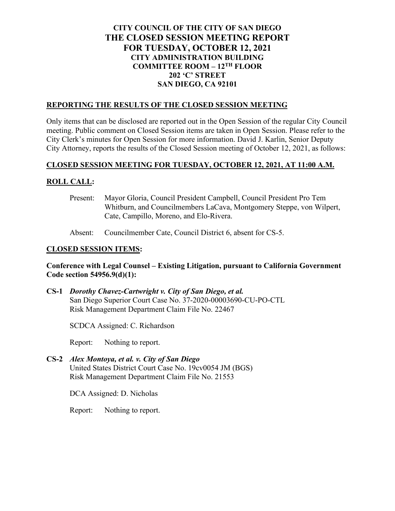# **CITY COUNCIL OF THE CITY OF SAN DIEGO THE CLOSED SESSION MEETING REPORT FOR TUESDAY, OCTOBER 12, 2021 CITY ADMINISTRATION BUILDING COMMITTEE ROOM – 12TH FLOOR 202 'C' STREET SAN DIEGO, CA 92101**

#### **REPORTING THE RESULTS OF THE CLOSED SESSION MEETING**

Only items that can be disclosed are reported out in the Open Session of the regular City Council meeting. Public comment on Closed Session items are taken in Open Session. Please refer to the City Clerk's minutes for Open Session for more information. David J. Karlin, Senior Deputy City Attorney, reports the results of the Closed Session meeting of October 12, 2021, as follows:

### **CLOSED SESSION MEETING FOR TUESDAY, OCTOBER 12, 2021, AT 11:00 A.M.**

### **ROLL CALL:**

Present: Mayor Gloria, Council President Campbell, Council President Pro Tem Whitburn, and Councilmembers LaCava, Montgomery Steppe, von Wilpert, Cate, Campillo, Moreno, and Elo-Rivera.

Absent: Councilmember Cate, Council District 6, absent for CS-5.

#### **CLOSED SESSION ITEMS:**

#### **Conference with Legal Counsel – Existing Litigation, pursuant to California Government Code section 54956.9(d)(1):**

**CS-1** *Dorothy Chavez-Cartwright v. City of San Diego, et al.* San Diego Superior Court Case No. 37-2020-00003690-CU-PO-CTL Risk Management Department Claim File No. 22467

SCDCA Assigned: C. Richardson

Report: Nothing to report.

**CS-2** *Alex Montoya, et al. v. City of San Diego* United States District Court Case No. 19cv0054 JM (BGS) Risk Management Department Claim File No. 21553

DCA Assigned: D. Nicholas

Report: Nothing to report.